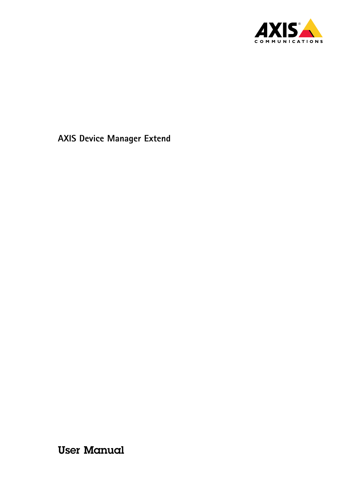

User Manual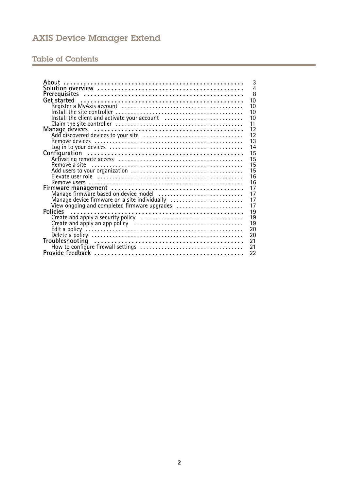# Table of Contents

| About                                                                                                                                                                                                          | 3              |
|----------------------------------------------------------------------------------------------------------------------------------------------------------------------------------------------------------------|----------------|
|                                                                                                                                                                                                                | $\overline{4}$ |
|                                                                                                                                                                                                                | 8              |
|                                                                                                                                                                                                                | 10             |
|                                                                                                                                                                                                                | 10             |
|                                                                                                                                                                                                                | 10             |
| Install the client and activate your account                                                                                                                                                                   | 10             |
|                                                                                                                                                                                                                | 11             |
|                                                                                                                                                                                                                | 12             |
|                                                                                                                                                                                                                | 12             |
|                                                                                                                                                                                                                | 13             |
|                                                                                                                                                                                                                | 14             |
|                                                                                                                                                                                                                | 15             |
|                                                                                                                                                                                                                | 15             |
|                                                                                                                                                                                                                | 15             |
|                                                                                                                                                                                                                | 15             |
|                                                                                                                                                                                                                | 16             |
|                                                                                                                                                                                                                | 16             |
| Firmware management<br>Manage firmware based on device model<br>Manage device firmware on a site individually<br>Manage device firmware on a site individually<br>Niew ongoing and completed firmware upgrades | 17             |
|                                                                                                                                                                                                                | 17             |
|                                                                                                                                                                                                                | 17             |
|                                                                                                                                                                                                                | 17             |
|                                                                                                                                                                                                                | 19             |
|                                                                                                                                                                                                                | 19             |
|                                                                                                                                                                                                                | 19             |
|                                                                                                                                                                                                                | 20             |
|                                                                                                                                                                                                                | 20             |
| 21                                                                                                                                                                                                             |                |
| 21                                                                                                                                                                                                             |                |
|                                                                                                                                                                                                                | 22             |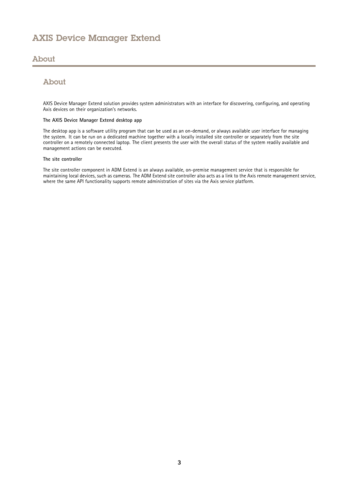## <span id="page-2-0"></span>About

# About

AXIS Device Manager Extend solution provides system administrators with an interface for discovering, configuring, and operating Axis devices on their organization's networks.

#### **The AXIS Device Manager Extend desktop app**

The desktop app is <sup>a</sup> software utility program that can be used as an on-demand, or always available user interface for managing the system. It can be run on <sup>a</sup> dedicated machine together with <sup>a</sup> locally installed site controller or separately from the site controller on <sup>a</sup> remotely connected laptop. The client presents the user with the overall status of the system readily available and management actions can be executed.

#### **The site controller**

The site controller component in ADM Extend is an always available, on-premise management service that is responsible for maintaining local devices, such as cameras. The ADM Extend site controller also acts as <sup>a</sup> link to the Axis remote management service, where the same API functionality supports remote administration of sites via the Axis service platform.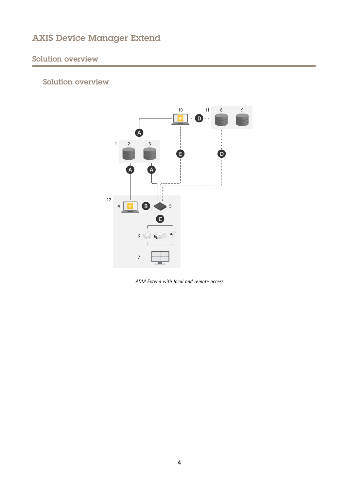# <span id="page-3-0"></span>Solution overview

# Solution overview



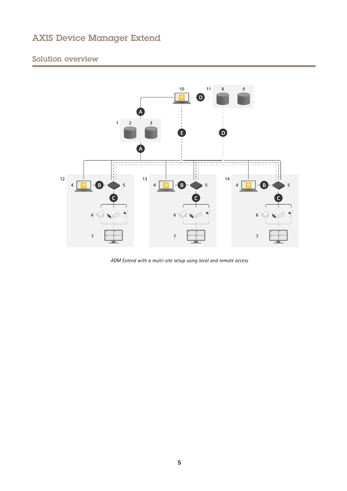# Solution overview



*ADM Extend with <sup>a</sup> multi-site setup using local and remote access*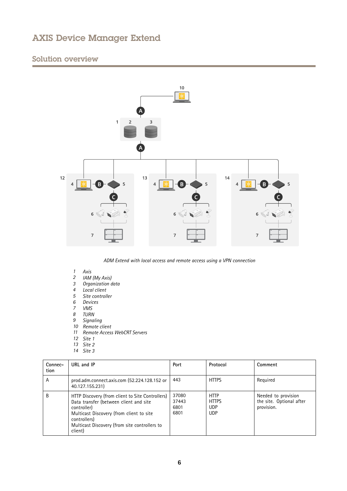# Solution overview



*ADM Extend with local access and remote access using <sup>a</sup> VPN connection*

- *1 Axis*
- *<sup>2</sup> IAM (My Axis)*
- *3 Organization data*
- *4 Local client*
- *5 Site controller*
- *6 Devices*
- *7 VMS*
- *8 TURN*
- *9 Signaling*
- *10 Remote client*
- 
- *11 Remote Access WebCRT Servers*
- *12 Site 1*
- *13 Site 2*
- *14 Site 3*

| Connec-<br>tion | URL and IP                                                                                                                                                                                                                        | Port                           | Protocol                                                | Comment                                                       |
|-----------------|-----------------------------------------------------------------------------------------------------------------------------------------------------------------------------------------------------------------------------------|--------------------------------|---------------------------------------------------------|---------------------------------------------------------------|
| A               | prod.adm.connect.axis.com (52.224.128.152 or<br>40.127.155.231)                                                                                                                                                                   | 443                            | <b>HTTPS</b>                                            | Reguired                                                      |
| B               | HTTP Discovery (from client to Site Controllers)<br>Data transfer (between client and site<br>controller)<br>Multicast Discovery (from client to site<br>controllers)<br>Multicast Discovery (from site controllers to<br>client) | 37080<br>37443<br>6801<br>6801 | <b>HTTP</b><br><b>HTTPS</b><br><b>UDP</b><br><b>UDP</b> | Needed to provision<br>the site. Optional after<br>provision. |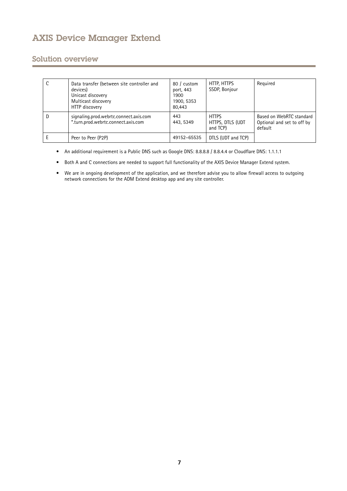# Solution overview

|   | Data transfer (between site controller and<br>devices)<br>Unicast discovery<br>Multicast discovery<br>HTTP discovery | 80 / custom<br>port, 443<br>1900<br>1900, 5353<br>80,443 | HTTP, HTTPS<br>SSDP, Bonjour                 | Required                                                          |
|---|----------------------------------------------------------------------------------------------------------------------|----------------------------------------------------------|----------------------------------------------|-------------------------------------------------------------------|
| D | signaling.prod.webrtc.connect.axis.com<br>*.turn.prod.webrtc.connect.axis.com                                        | 443<br>443, 5349                                         | <b>HTTPS</b><br>HTTPS, DTLS (UDT<br>and TCP) | Based on WebRTC standard<br>Optional and set to off by<br>default |
| Ε | Peer to Peer (P2P)                                                                                                   | 49152-65535                                              | DTLS (UDT and TCP)                           |                                                                   |

• An additional requirement is a Public DNS such as Google DNS: 8.8.8.8 / 8.8.4.4 or Cloudflare DNS: 1.1.1.1

- Both A and C connections are needed to support full functionality of the AXIS Device Manager Extend system.
- • We are in ongoing development of the application, and we therefore advise you to allow firewall access to outgoing network connections for the ADM Extend desktop app and any site controller.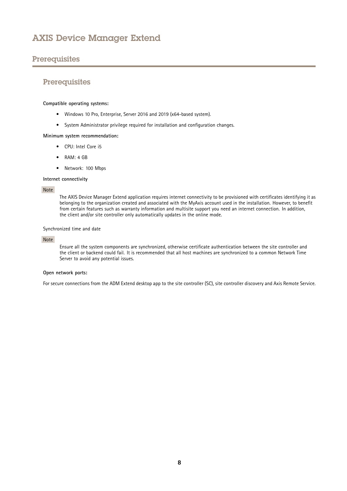# <span id="page-7-0"></span>**Prerequisites**

## **Prerequisites**

#### **Compatible operating systems:**

- Windows <sup>10</sup> Pro, Enterprise, Server <sup>2016</sup> and <sup>2019</sup> (x64-based system).
- System Administrator privilege required for installation and configuration changes.

#### **Minimum system recommendation:**

- CPU: Intel Core i5
- RAM: 4 GB
- Network: 100 Mbps

#### **Internet connectivity**

#### Note

The AXIS Device Manager Extend application requires internet connectivity to be provisioned with certificates identifying it as belonging to the organization created and associated with the MyAxis account used in the installation. However, to benefit from certain features such as warranty information and multisite support you need an internet connection. In addition, the client and/or site controller only automatically updates in the online mode.

#### Synchronized time and date

#### Note

Ensure all the system components are synchronized, otherwise certificate authentication between the site controller and the client or backend could fail. It is recommended that all host machines are synchronized to <sup>a</sup> common Network Time Server to avoid any potential issues.

#### **Open network ports:**

For secure connections from the ADM Extend desktop app to the site controller (SC), site controller discovery and Axis Remote Service.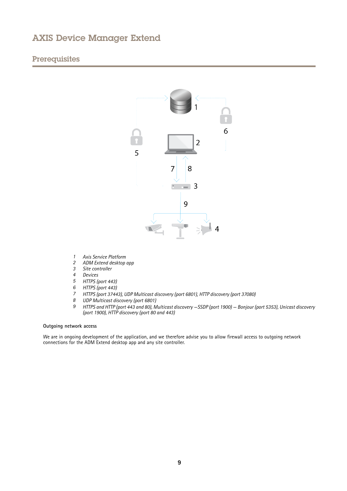# **Prerequisites**



- *1 Axis Service Platform*
- *2 ADM Extend desktop app*
- *3 Site controller*
- *4 Devices*
- 
- *<sup>5</sup> HTTPS (port 443)*
- *<sup>6</sup> HTTPS (port 443) <sup>7</sup> HTTPS (port 37443), UDP Multicast discovery (port 6801), HTTP discovery (port 37080)*
- 
- *<sup>8</sup> UDP Multicast discovery (port 6801)* HTTPS and HTTP (port 443 and 80), Multicast discovery -SSDP (port 1900) - Bonjour (port 5353), Unicast discovery *(port 1900), HTTP discovery (port <sup>80</sup> and 443)*

#### **Outgoing network access**

We are in ongoing development of the application, and we therefore advise you to allow firewall access to outgoing network connections for the ADM Extend desktop app and any site controller.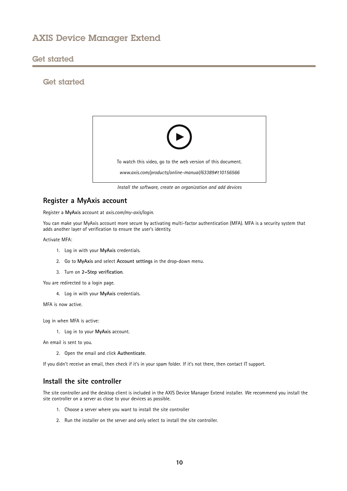## <span id="page-9-0"></span>Get started

# Get started



*Install the software, create an organization and add devices*

### **Register <sup>a</sup> MyAxis account**

Register <sup>a</sup> **MyAxis** account at *[axis.com/my-axis/login](https://www.axis.com/se/sv/my-axis/login)*.

You can make your MyAxis account more secure by activating multi-factor authentication (MFA). MFA is <sup>a</sup> security system that adds another layer of verification to ensure the user's identity.

Activate MFA:

- 1. Log in with your **MyAxis** credentials.
- 2. Go to **MyAxis** and select **Account settings** in the drop-down menu.
- 3. Turn on **2–Step verification**.

You are redirected to <sup>a</sup> login page.

4. Log in with your **MyAxis** credentials.

MFA is now active.

Log in when MFA is active:

1. Log in to your **MyAxis** account.

An email is sent to you.

2. Open the email and click **Authenticate**.

If you didn't receive an email, then check if it's in your spam folder. If it's not there, then contact IT support.

## **Install the site controller**

The site controller and the desktop client is included in the AXIS Device Manager Extend installer. We recommend you install the site controller on <sup>a</sup> server as close to your devices as possible.

- 1. Choose <sup>a</sup> server where you want to install the site controller
- 2. Run the installer on the server and only select to install the site controller.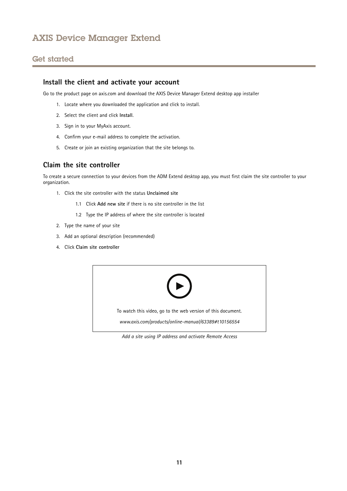# <span id="page-10-0"></span>Get started

### **Install the client and activate your account**

Go to the product page on axis.com and download the AXIS Device Manager Extend desktop app installer

- 1. Locate where you downloaded the application and click to install.
- 2. Select the client and click **Install**.
- 3. Sign in to your MyAxis account.
- 4. Confirm your e-mail address to complete the activation.
- 5. Create or join an existing organization that the site belongs to.

# **Claim the site controller**

To create <sup>a</sup> secure connection to your devices from the ADM Extend desktop app, you must first claim the site controller to your organization.

- 1. Click the site controller with the status **Unclaimed site**
	- 1.1 Click **Add new site** if there is no site controller in the list
	- 1.2 Type the IP address of where the site controller is located
- 2. Type the name of your site
- 3. Add an optional description (recommended)
- 4. Click **Claim site controller**



*Add <sup>a</sup> site using IP address and activate Remote Access*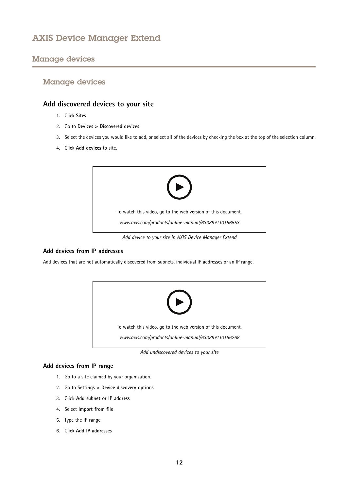# <span id="page-11-0"></span>Manage devices

## **Add discovered devices to your site**

- 1. Click **Sites**
- 2. Go to **Devices <sup>&</sup>gt; Discovered devices**
- 3. Select the devices you would like to add, or select all of the devices by checking the box at the top of the selection column.
- 4. Click **Add devices** to site.



*Add device to your site in AXIS Device Manager Extend*

### **Add devices from IP addresses**

Add devices that are not automatically discovered from subnets, individual IP addresses or an IP range.



*Add undiscovered devices to your site*

### **Add devices from IP range**

- 1. Go to <sup>a</sup> site claimed by your organization.
- 2. Go to **Settings <sup>&</sup>gt; Device discovery options**.
- 3. Click **Add subnet or IP address**
- 4. Select **Import from file**
- 5. Type the IP range
- 6. Click **Add IP addresses**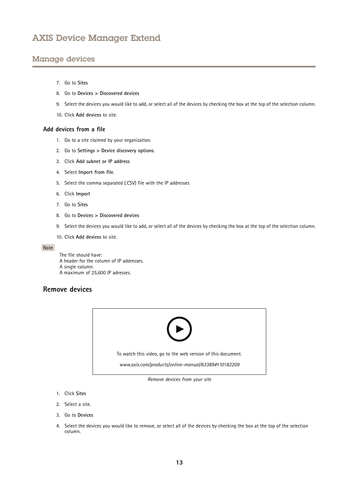# <span id="page-12-0"></span>Manage devices

- 7. Go to **Sites**
- 8. Go to **Devices <sup>&</sup>gt; Discovered devices**
- 9. Select the devices you would like to add, or select all of the devices by checking the box at the top of the selection column.
- 10. Click **Add devices** to site.

#### **Add devices from <sup>a</sup> file**

- 1. Go to <sup>a</sup> site claimed by your organization.
- 2. Go to **Settings <sup>&</sup>gt; Device discovery options**.
- 3. Click **Add subnet or IP address**
- 4. Select **Import from file**.
- 5. Select the comma separated (.CSV) file with the IP addresses
- 6. Click **Import**
- 7. Go to **Sites**
- 8. Go to **Devices <sup>&</sup>gt; Discovered devices**
- 9. Select the devices you would like to add, or select all of the devices by checking the box at the top of the selection column.
- 10. Click **Add devices** to site.

#### Note

The file should have: A header for the column of IP addresses. A single column. A maximum of 25,600 IP adresses.

### **Remove devices**



*Remove devices from your site*

- 1. Click **Sites**
- 2. Select <sup>a</sup> site.
- 3. Go to **Devices**
- 4. Select the devices you would like to remove, or select all of the devices by checking the box at the top of the selection column.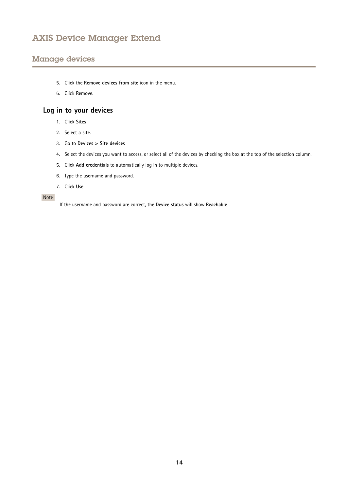# <span id="page-13-0"></span>Manage devices

- 5. Click the **Remove devices from site** icon in the menu.
- 6. Click **Remove**.

# **Log in to your devices**

- 1. Click **Sites**
- 2. Select <sup>a</sup> site.
- 3. Go to **Devices <sup>&</sup>gt; Site devices**
- 4. Select the devices you want to access, or select all of the devices by checking the box at the top of the selection column.
- 5. Click **Add credentials** to automatically log in to multiple devices.
- 6. Type the username and password.
- 7. Click **Use**

#### Note

If the username and password are correct, the **Device status** will show **Reachable**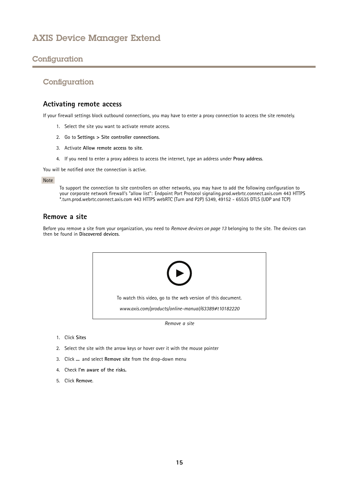# <span id="page-14-0"></span>**Configuration**

# **Configuration**

### **Activating remote access**

If your firewall settings block outbound connections, you may have to enter <sup>a</sup> proxy connection to access the site remotely.

- 1. Select the site you want to activate remote access.
- 2. Go to **Settings <sup>&</sup>gt; Site controller connections**.
- 3. Activate **Allow remote access to site**.
- 4. If you need to enter <sup>a</sup> proxy address to access the internet, type an address under **Proxy address**.

You will be notified once the connection is active.

#### Note

To support the connection to site controllers on other networks, you may have to add the following configuration to your corporate network firewall's "allow list": Endpoint Port Protocol signaling.prod.webrtc.connect.axis.com 443 HTTPS \*.turn.prod.webrtc.connect.axis.com <sup>443</sup> HTTPS webRTC (Turn and P2P) 5349, <sup>49152</sup> - <sup>65535</sup> DTLS (UDP and TCP)

# **Remove a site**

Before you remove <sup>a</sup> site from your organization, you need to *[Remove](#page-12-0) devices on page [13](#page-12-0)* belonging to the site. The devices can then be found in **Discovered devices**.



- 1. Click **Sites**
- 2. Select the site with the arrow keys or hover over it with the mouse pointer
- 3. Click **...** and select **Remove site** from the drop-down menu
- 4. Check **I'm aware of the risks.**
- 5. Click **Remove**.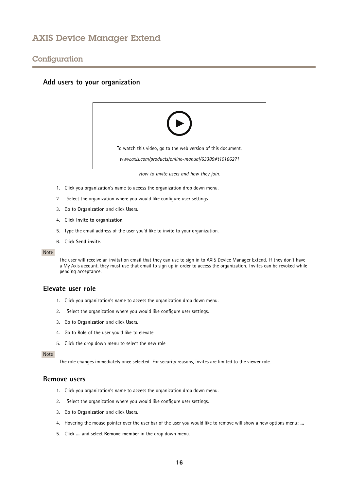## <span id="page-15-0"></span>**Configuration**

### **Add users to your organization**



*How to invite users and how they join.*

- 1. Click you organization's name to access the organization drop down menu.
- 2. Select the organization where you would like configure user settings.
- 3. Go to **Organization** and click **Users**.
- 4. Click **Invite to organization**.
- 5. Type the email address of the user you'd like to invite to your organization.
- 6. Click **Send invite**.

#### Note

The user will receive an invitation email that they can use to sign in to AXIS Device Manager Extend. If they don't have <sup>a</sup> My Axis account, they must use that email to sign up in order to access the organization. Invites can be revoked while pending acceptance.

### **Elevate user role**

- 1. Click you organization's name to access the organization drop down menu.
- 2. Select the organization where you would like configure user settings.
- 3. Go to **Organization** and click **Users**.
- 4. Go to **Role** of the user you'd like to elevate
- 5. Click the drop down menu to select the new role

Note

The role changes immediately once selected. For security reasons, invites are limited to the viewer role.

#### **Remove users**

- 1. Click you organization's name to access the organization drop down menu.
- 2. Select the organization where you would like configure user settings.
- 3. Go to **Organization** and click **Users**.
- 4. Hovering the mouse pointer over the user bar of the user you would like to remove will show <sup>a</sup> new options menu: **...**
- 5. Click **...** and select **Remove member** in the drop down menu.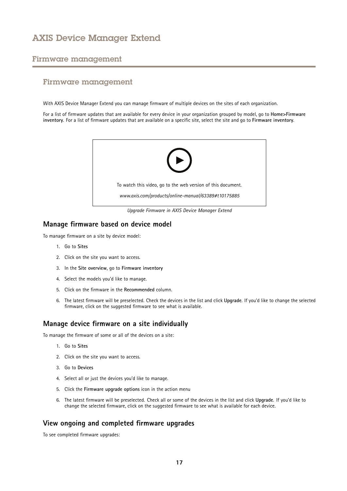## <span id="page-16-0"></span>Firmware management

## Firmware management

With AXIS Device Manager Extend you can manage firmware of multiple devices on the sites of each organization.

For <sup>a</sup> list of firmware updates that are available for every device in your organization grouped by model, go to **Home>Firmware inventory**. For <sup>a</sup> list of firmware updates that are available on <sup>a</sup> specific site, select the site and go to **Firmware inventory**.



*Upgrade Firmware in AXIS Device Manager Extend*

### **Manage firmware based on device model**

To manage firmware on <sup>a</sup> site by device model:

- 1. Go to **Sites**
- 2. Click on the site you want to access.
- 3. In the **Site overview**, go to **Firmware inventory**
- 4. Select the models you'd like to manage.
- 5. Click on the firmware in the **Recommended** column.
- 6. The latest firmware will be preselected. Check the devices in the list and click **Upgrade**. If you'd like to change the selected firmware, click on the suggested firmware to see what is available.

### **Manage device firmware on <sup>a</sup> site individually**

To manage the firmware of some or all of the devices on <sup>a</sup> site:

- 1. Go to **Sites**
- 2. Click on the site you want to access.
- 3. Go to **Devices**
- 4. Select all or just the devices you'd like to manage.
- 5. Click the **Firmware upgrade options** icon in the action menu
- 6. The latest firmware will be preselected. Check all or some of the devices in the list and click **Upgrade**. If you'd like to change the selected firmware, click on the suggested firmware to see what is available for each device.

### **View ongoing and completed firmware upgrades**

To see completed firmware upgrades: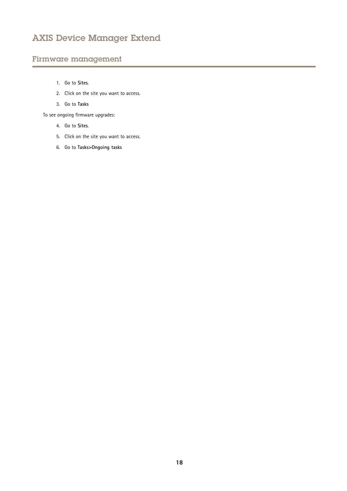# Firmware management

- 1. Go to **Sites**.
- 2. Click on the site you want to access.
- 3. Go to **Tasks**

To see ongoing firmware upgrades:

- 4. Go to **Sites**.
- 5. Click on the site you want to access.
- 6. Go to **Tasks>Ongoing tasks**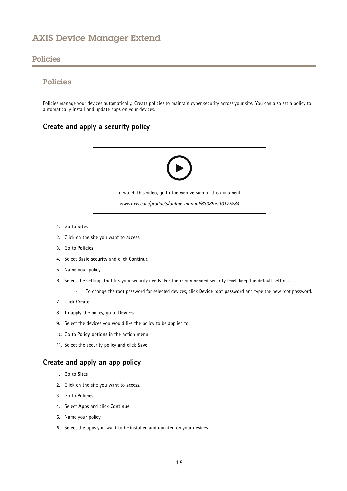### <span id="page-18-0"></span>Policies

# Policies

Policies manage your devices automatically. Create policies to maintain cyber security across your site. You can also set <sup>a</sup> policy to automatically install and update apps on your devices.

# **Create and apply <sup>a</sup> security policy**



- 1. Go to **Sites**
- 2. Click on the site you want to access.
- 3. Go to **Policies**
- 4. Select **Basic security** and click **Continue**
- 5. Name your policy
- 6. Select the settings that fits your security needs. For the recommended security level, keep the default settings.
	- -To change the root password for selected devices, click **Device root password** and type the new root password.
- 7. Click **Create** .
- 8. To apply the policy, go to **Devices**.
- 9. Select the devices you would like the policy to be applied to.
- 10. Go to **Policy options** in the action menu
- 11. Select the security policy and click **Save**

## **Create and apply an app policy**

- 1. Go to **Sites**
- 2. Click on the site you want to access.
- 3. Go to **Policies**
- 4. Select **Apps** and click **Continue**
- 5. Name your policy
- 6. Select the apps you want to be installed and updated on your devices.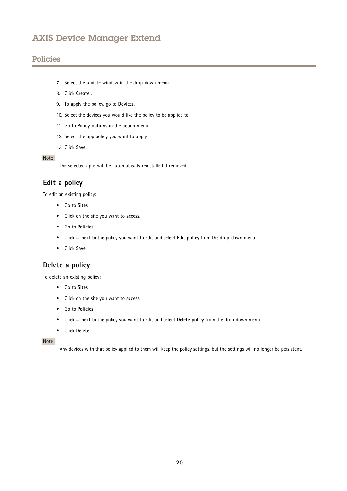# <span id="page-19-0"></span>Policies

- 7. Select the update window in the drop-down menu.
- 8. Click **Create** .
- 9. To apply the policy, go to **Devices**.
- 10. Select the devices you would like the policy to be applied to.
- 11. Go to **Policy options** in the action menu
- 12. Select the app policy you want to apply.
- 13. Click **Save**.

### Note

The selected apps will be automatically reinstalled if removed.

## **Edit <sup>a</sup> policy**

To edit an existing policy:

- Go to **Sites**
- Click on the site you want to access.
- Go to **Policies**
- Click **...** next to the policy you want to edit and select **Edit policy** from the drop-down menu.
- Click **Save**

# **Delete <sup>a</sup> policy**

To delete an existing policy:

- Go to **Sites**
- Click on the site you want to access.
- Go to **Policies**
- Click **...** next to the policy you want to edit and select **Delete policy** from the drop-down menu.
- Click **Delete**

Note

Any devices with that policy applied to them will keep the policy settings, but the settings will no longer be persistent.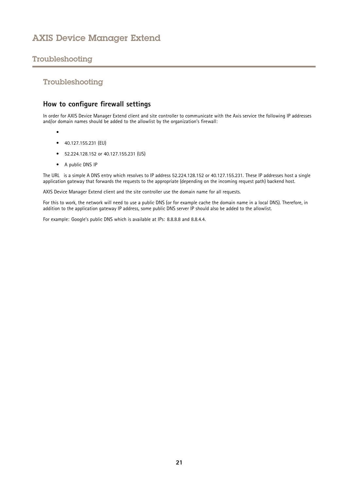# <span id="page-20-0"></span>Troubleshooting

## Troubleshooting

# **How to configure firewall settings**

In order for AXIS Device Manager Extend client and site controller to communicate with the Axis service the following IP addresses and/or domain names should be added to the allowlist by the organization's firewall:

- •
- 40.127.155.231 (EU)
- 52.224.128.152 or 40.127.155.231 (US)
- A public DNS IP

The URL is <sup>a</sup> simple A DNS entry which resolves to IP address 52.224.128.152 or 40.127.155.231. These IP addresses host <sup>a</sup> single application gateway that forwards the requests to the appropriate (depending on the incoming request path) backend host.

AXIS Device Manager Extend client and the site controller use the domain name for all requests.

For this to work, the network will need to use <sup>a</sup> public DNS (or for example cache the domain name in <sup>a</sup> local DNS). Therefore, in addition to the application gateway IP address, some public DNS server IP should also be added to the allowlist.

For example: Google's public DNS which is available at IPs: 8.8.8.8 and 8.8.4.4.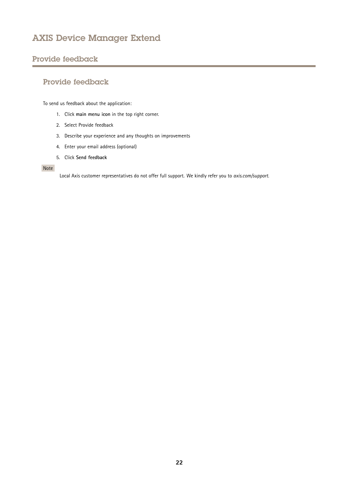# <span id="page-21-0"></span>Provide feedback

# Provide feedback

To send us feedback about the application:

- 1. Click **main menu icon** in the top right corner.
- 2. Select Provide feedback
- 3. Describe your experience and any thoughts on improvements
- 4. Enter your email address (optional)
- 5. Click **Send feedback**

#### Note

Local Axis customer representatives do not offer full support. We kindly refer you to *[axis.com/support](https://www.axis.com/support)*.